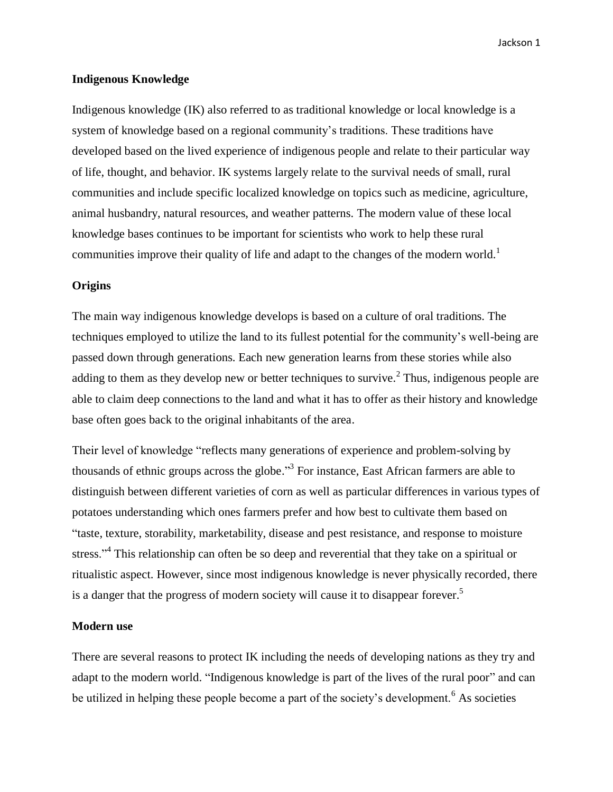Jackson 1

#### **Indigenous Knowledge**

Indigenous knowledge (IK) also referred to as traditional knowledge or local knowledge is a system of knowledge based on a regional community's traditions. These traditions have developed based on the lived experience of indigenous people and relate to their particular way of life, thought, and behavior. IK systems largely relate to the survival needs of small, rural communities and include specific localized knowledge on topics such as medicine, agriculture, animal husbandry, natural resources, and weather patterns. The modern value of these local knowledge bases continues to be important for scientists who work to help these rural communities improve their quality of life and adapt to the changes of the modern world.<sup>1</sup>

# **Origins**

The main way indigenous knowledge develops is based on a culture of oral traditions. The techniques employed to utilize the land to its fullest potential for the community's well-being are passed down through generations. Each new generation learns from these stories while also adding to them as they develop new or better techniques to survive.<sup>2</sup> Thus, indigenous people are able to claim deep connections to the land and what it has to offer as their history and knowledge base often goes back to the original inhabitants of the area.

Their level of knowledge "reflects many generations of experience and problem-solving by thousands of ethnic groups across the globe."<sup>3</sup> For instance, East African farmers are able to distinguish between different varieties of corn as well as particular differences in various types of potatoes understanding which ones farmers prefer and how best to cultivate them based on "taste, texture, storability, marketability, disease and pest resistance, and response to moisture stress."<sup>4</sup> This relationship can often be so deep and reverential that they take on a spiritual or ritualistic aspect. However, since most indigenous knowledge is never physically recorded, there is a danger that the progress of modern society will cause it to disappear forever.<sup>5</sup>

### **Modern use**

There are several reasons to protect IK including the needs of developing nations as they try and adapt to the modern world. "Indigenous knowledge is part of the lives of the rural poor" and can be utilized in helping these people become a part of the society's development.<sup>6</sup> As societies